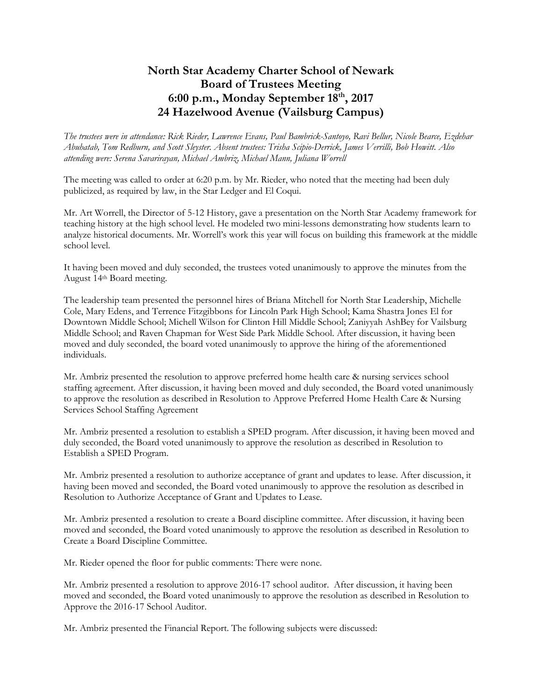## **North Star Academy Charter School of Newark Board of Trustees Meeting 6:00 p.m., Monday September 18th, 2017 24 Hazelwood Avenue (Vailsburg Campus)**

*The trustees were in attendance: Rick Rieder, Lawrence Evans, Paul Bambrick-Santoyo, Ravi Bellur, Nicole Bearce, Ezdehar Abuhatab, Tom Redburn, and Scott Sleyster. Absent trustees: Trisha Scipio-Derrick, James Verrilli, Bob Howitt. Also attending were: Serena Savarirayan, Michael Ambriz, Michael Mann, Juliana Worrell*

The meeting was called to order at 6:20 p.m. by Mr. Rieder, who noted that the meeting had been duly publicized, as required by law, in the Star Ledger and El Coqui.

Mr. Art Worrell, the Director of 5-12 History, gave a presentation on the North Star Academy framework for teaching history at the high school level. He modeled two mini-lessons demonstrating how students learn to analyze historical documents. Mr. Worrell's work this year will focus on building this framework at the middle school level.

It having been moved and duly seconded, the trustees voted unanimously to approve the minutes from the August 14th Board meeting.

The leadership team presented the personnel hires of Briana Mitchell for North Star Leadership, Michelle Cole, Mary Edens, and Terrence Fitzgibbons for Lincoln Park High School; Kama Shastra Jones El for Downtown Middle School; Michell Wilson for Clinton Hill Middle School; Zaniyyah AshBey for Vailsburg Middle School; and Raven Chapman for West Side Park Middle School. After discussion, it having been moved and duly seconded, the board voted unanimously to approve the hiring of the aforementioned individuals.

Mr. Ambriz presented the resolution to approve preferred home health care & nursing services school staffing agreement. After discussion, it having been moved and duly seconded, the Board voted unanimously to approve the resolution as described in Resolution to Approve Preferred Home Health Care & Nursing Services School Staffing Agreement

Mr. Ambriz presented a resolution to establish a SPED program. After discussion, it having been moved and duly seconded, the Board voted unanimously to approve the resolution as described in Resolution to Establish a SPED Program.

Mr. Ambriz presented a resolution to authorize acceptance of grant and updates to lease. After discussion, it having been moved and seconded, the Board voted unanimously to approve the resolution as described in Resolution to Authorize Acceptance of Grant and Updates to Lease.

Mr. Ambriz presented a resolution to create a Board discipline committee. After discussion, it having been moved and seconded, the Board voted unanimously to approve the resolution as described in Resolution to Create a Board Discipline Committee.

Mr. Rieder opened the floor for public comments: There were none.

Mr. Ambriz presented a resolution to approve 2016-17 school auditor. After discussion, it having been moved and seconded, the Board voted unanimously to approve the resolution as described in Resolution to Approve the 2016-17 School Auditor.

Mr. Ambriz presented the Financial Report. The following subjects were discussed: